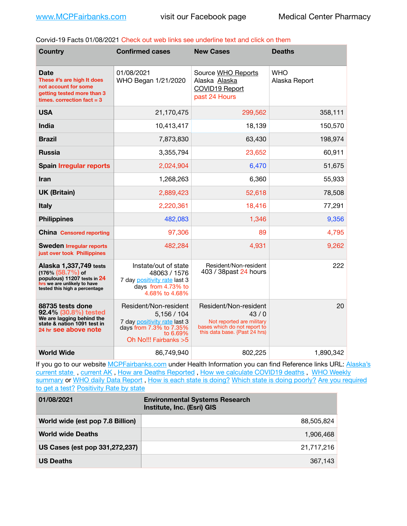Corvid-19 Facts 01/08/2021 Check out web links see underline text and click on them

| <b>Country</b>                                                                                                                                | <b>Confirmed cases</b>                                                                                                              | <b>New Cases</b>                                                                                                            | <b>Deaths</b>               |
|-----------------------------------------------------------------------------------------------------------------------------------------------|-------------------------------------------------------------------------------------------------------------------------------------|-----------------------------------------------------------------------------------------------------------------------------|-----------------------------|
| Date<br>These #'s are high It does<br>not account for some<br>getting tested more than 3<br>times, correction $fact = 3$                      | 01/08/2021<br>WHO Began 1/21/2020                                                                                                   | Source WHO Reports<br>Alaska Alaska<br><b>COVID19 Report</b><br>past 24 Hours                                               | <b>WHO</b><br>Alaska Report |
| <b>USA</b>                                                                                                                                    | 21,170,475                                                                                                                          | 299,562                                                                                                                     | 358,111                     |
| India                                                                                                                                         | 10,413,417                                                                                                                          | 18,139                                                                                                                      | 150,570                     |
| <b>Brazil</b>                                                                                                                                 | 7,873,830                                                                                                                           | 63,430                                                                                                                      | 198,974                     |
| <b>Russia</b>                                                                                                                                 | 3,355,794                                                                                                                           | 23,652                                                                                                                      | 60,911                      |
| <b>Spain Irregular reports</b>                                                                                                                | 2,024,904                                                                                                                           | 6,470                                                                                                                       | 51,675                      |
| <b>Iran</b>                                                                                                                                   | 1,268,263                                                                                                                           | 6,360                                                                                                                       | 55,933                      |
| <b>UK (Britain)</b>                                                                                                                           | 2,889,423                                                                                                                           | 52,618                                                                                                                      | 78,508                      |
| <b>Italy</b>                                                                                                                                  | 2,220,361                                                                                                                           | 18,416                                                                                                                      | 77,291                      |
| <b>Philippines</b>                                                                                                                            | 482,083                                                                                                                             | 1,346                                                                                                                       | 9,356                       |
| <b>China</b> Censored reporting                                                                                                               | 97,306                                                                                                                              | 89                                                                                                                          | 4,795                       |
| <b>Sweden Irregular reports</b><br>just over took Phillippines                                                                                | 482,284                                                                                                                             | 4,931                                                                                                                       | 9,262                       |
| Alaska 1,337,749 tests<br>$(176\% (58.7\%)$ of<br>populous) 11207 tests in 24<br>hrs we are unlikely to have<br>tested this high a percentage | Instate/out of state<br>48063 / 1576<br>7 day positivity rate last 3<br>days from 4.73% to<br>4.68% to 4.68%                        | Resident/Non-resident<br>403 / 38past 24 hours                                                                              | 222                         |
| 88735 tests done<br>92.4% (30.8%) tested<br>We are lagging behind the<br>state & nation 1091 test in<br>24 hr see above note                  | Resident/Non-resident<br>5,156/104<br>7 day positivity rate last 3<br>days from 7.3% to 7.35%<br>to 6.69%<br>Oh No!!! Fairbanks > 5 | Resident/Non-resident<br>43/0<br>Not reported are military<br>bases which do not report to<br>this data base. {Past 24 hrs) | 20                          |
| <b>World Wide</b>                                                                                                                             | 86,749,940                                                                                                                          | 802,225                                                                                                                     | 1,890,342                   |

If you go to our website [MCPFairbanks.com](http://www.MCPFairbanks.com) under Health Information you can find Reference links URL: Alaska's current state, current AK, [How are Deaths Reported](http://dhss.alaska.gov/dph/Epi/id/Pages/COVID-19/deathcounts.aspx), [How we calculate COVID19 deaths](https://coronavirus-response-alaska-dhss.hub.arcgis.com/search?collection=Document&groupIds=41ccb3344ebc4bd682c74073eba21f42), WHO Weekly [summary](http://www.who.int) or [WHO daily Data Report](https://covid19.who.int/table), [How is each state is doing?](https://www.msn.com/en-us/news/us/state-by-state-coronavirus-news/ar-BB13E1PX?fbclid=IwAR0_OBJH7lSyTN3ug_MsOeFnNgB1orTa9OBgilKJ7dhnwlVvHEsptuKkj1c) [Which state is doing poorly?](https://bestlifeonline.com/covid-outbreak-your-state/?utm_source=nsltr&utm_medium=email&utm_content=covid-outbreak-your-state&utm_campaign=launch) Are you required [to get a test?](http://dhss.alaska.gov/dph/Epi/id/SiteAssets/Pages/HumanCoV/Whattodoafteryourtest.pdf) [Positivity Rate by state](https://coronavirus.jhu.edu/testing/individual-states/alaska)

| 01/08/2021                       | <b>Environmental Systems Research</b><br>Institute, Inc. (Esri) GIS |
|----------------------------------|---------------------------------------------------------------------|
| World wide (est pop 7.8 Billion) | 88.505.824                                                          |
| <b>World wide Deaths</b>         | 1,906,468                                                           |
| US Cases (est pop 331,272,237)   | 21,717,216                                                          |
| <b>US Deaths</b>                 | 367.143                                                             |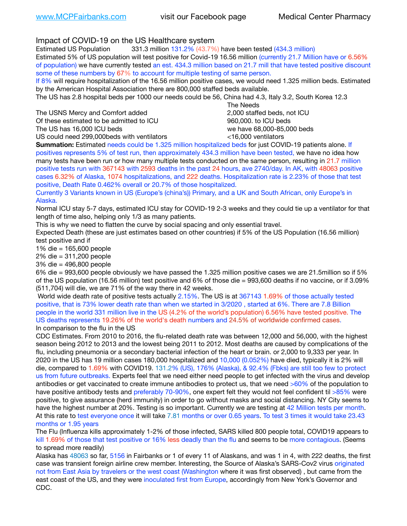Impact of COVID-19 on the US Healthcare system

Estimated US Population 331.3 million 131.2% (43.7%) have been tested (434.3 million) Estimated 5% of US population will test positive for Covid-19 16.56 million (currently 21.7 Million have or 6.56% of population) we have currently tested an est. 434.3 million based on 21.7 mill that have tested positive discount some of these numbers by 67% to account for multiple testing of same person.

If 8% will require hospitalization of the 16.56 million positive cases, we would need 1.325 million beds. Estimated by the American Hospital Association there are 800,000 staffed beds available.

The US has 2.8 hospital beds per 1000 our needs could be 56, China had 4.3, Italy 3.2, South Korea 12.3

The USNS Mercy and Comfort added 2,000 staffed beds, not ICU

Of these estimated to be admitted to ICU 860,000. to ICU beds

 The Needs The US has 16,000 ICU beds we have 68,000-85,000 beds

US could need 299,000 beds with ventilators  $\leq 16,000$  ventilators

**Summation:** Estimated needs could be 1.325 million hospitalized beds for just COVID-19 patients alone. If positives represents 5% of test run, then approximately 434.3 million have been tested, we have no idea how many tests have been run or how many multiple tests conducted on the same person, resulting in 21.7 million positive tests run with 367143 with 2593 deaths in the past 24 hours, ave 2740/day. In AK, with 48063 positive cases 6.32% of Alaska, 1074 hospitalizations, and 222 deaths. Hospitalization rate is 2.23% of those that test positive, Death Rate 0.462% overall or 20.7% of those hospitalized.

Currently 3 Variants known in US (Europe's (china's)) Primary, and a UK and South African, only Europe's in Alaska.

Normal ICU stay 5-7 days, estimated ICU stay for COVID-19 2-3 weeks and they could tie up a ventilator for that length of time also, helping only 1/3 as many patients.

This is why we need to flatten the curve by social spacing and only essential travel.

Expected Death (these are just estimates based on other countries) if 5% of the US Population (16.56 million) test positive and if

1% die = 165,600 people

2% die = 311,200 people

3% die = 496,800 people

6% die = 993,600 people obviously we have passed the 1.325 million positive cases we are 21.5million so if 5% of the US population (16.56 million) test positive and 6% of those die = 993,600 deaths if no vaccine, or if 3.09% (511,704) will die, we are 71% of the way there in 42 weeks.

 World wide death rate of positive tests actually 2.15%. The US is at 367143 1.69% of those actually tested positive, that is 73% lower death rate than when we started in 3/2020 , started at 6%. There are 7.8 Billion people in the world 331 million live in the US (4.2% of the world's population) 6.56% have tested positive. The US deaths represents 19.26% of the world's death numbers and 24.5% of worldwide confirmed cases. In comparison to the flu in the US

CDC Estimates. From 2010 to 2016, the flu-related death rate was between 12,000 and 56,000, with the highest season being 2012 to 2013 and the lowest being 2011 to 2012. Most deaths are caused by complications of the flu, including pneumonia or a secondary bacterial infection of the heart or brain. or 2,000 to 9,333 per year. In 2020 in the US has 19 million cases 180,000 hospitalized and 10,000 (0.052%) have died, typically it is 2% will die, compared to 1.69% with COVID19. 131.2% (US), 176% (Alaska), & 92.4% (Fbks) are still too few to protect us from future outbreaks. Experts feel that we need either need people to get infected with the virus and develop antibodies or get vaccinated to create immune antibodies to protect us, that we need >60% of the population to have positive antibody tests and preferably 70-90%, one expert felt they would not feel confident til >85% were positive, to give assurance (herd immunity) in order to go without masks and social distancing. NY City seems to have the highest number at 20%. Testing is so important. Currently we are testing at 42 Million tests per month. At this rate to test everyone once it will take 7.81 months or over 0.65 years. To test 3 times it would take 23.43 months or 1.95 years

The Flu (Influenza kills approximately 1-2% of those infected, SARS killed 800 people total, COVID19 appears to kill 1.69% of those that test positive or 16% less deadly than the flu and seems to be more contagious. (Seems to spread more readily)

Alaska has 48063 so far, 5156 in Fairbanks or 1 of every 11 of Alaskans, and was 1 in 4, with 222 deaths, the first case was transient foreign airline crew member. Interesting, the Source of Alaska's SARS-Cov2 virus originated not from East Asia by travelers or the west coast (Washington where it was first observed) , but came from the east coast of the US, and they were inoculated first from Europe, accordingly from New York's Governor and CDC.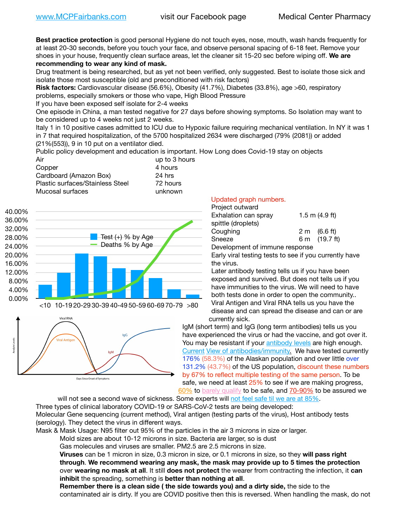**Best practice protection** is good personal Hygiene do not touch eyes, nose, mouth, wash hands frequently for at least 20-30 seconds, before you touch your face, and observe personal spacing of 6-18 feet. Remove your shoes in your house, frequently clean surface areas, let the cleaner sit 15-20 sec before wiping off. **We are recommending to wear any kind of mask.**

Drug treatment is being researched, but as yet not been verified, only suggested. Best to isolate those sick and isolate those most susceptible (old and preconditioned with risk factors)

**Risk factors:** Cardiovascular disease (56.6%), Obesity (41.7%), Diabetes (33.8%), age >60, respiratory problems, especially smokers or those who vape, High Blood Pressure

If you have been exposed self isolate for 2-4 weeks

One episode in China, a man tested negative for 27 days before showing symptoms. So Isolation may want to be considered up to 4 weeks not just 2 weeks.

Italy 1 in 10 positive cases admitted to ICU due to Hypoxic failure requiring mechanical ventilation. In NY it was 1 in 7 that required hospitalization, of the 5700 hospitalized 2634 were discharged (79% (2081)) or added (21%(553)), 9 in 10 put on a ventilator died.

Public policy development and education is important. How Long does Covid-19 stay on objects

| up to 3 hours |
|---------------|
| 4 hours       |
| 24 hrs        |
| 72 hours      |
| unknown       |
|               |





## Updated graph numbers.

| Project outward                |                        |
|--------------------------------|------------------------|
| Exhalation can spray           | $1.5$ m $(4.9$ ft)     |
| spittle (droplets)             |                        |
| Coughing                       | $2 \text{ m}$ (6.6 ft) |
| Sneeze                         | 6 m (19.7 ft)          |
| Development of immune response |                        |

Early viral testing tests to see if you currently have the virus.

Later antibody testing tells us if you have been exposed and survived. But does not tells us if you have immunities to the virus. We will need to have both tests done in order to open the community.. Viral Antigen and Viral RNA tells us you have the disease and can spread the disease and can or are currently sick.

IgM (short term) and IgG (long term antibodies) tells us you have experienced the virus or had the vaccine, and got over it. You may be resistant if your [antibody levels](https://www.cdc.gov/coronavirus/2019-ncov/lab/resources/antibody-tests.html) are high enough. [Current](https://l.facebook.com/l.php?u=https://www.itv.com/news/2020-10-26/covid-19-antibody-levels-reduce-over-time-study-finds?fbclid=IwAR3Dapzh1qIH1EIOdUQI2y8THf7jfA4KBCaJz8Qg-8xe1YsrR4nsAHDIXSY&h=AT30nut8pkqp0heVuz5W2rT2WFFm-2Ab52BsJxZZCNlGsX58IpPkuVEPULbIUV_M16MAukx1Kwb657DPXxsgDN1rpOQ4gqBtQsmVYiWpnHPJo2RQsU6CPMd14lgLnQnFWxfVi6zvmw&__tn__=-UK-R&c%5B0%5D=AT1GaRAfR_nGAyqcn7TI1-PpvqOqEKXHnz6TDWvRStMnOSH7boQDvTiwTOc6VId9UES6LKiOmm2m88wKCoolkJyOFvakt2Z1Mw8toYWGGoWW23r0MNVBl7cYJXB_UOvGklNHaNnaNr1_S7NhT3BSykNOBg) [View of antibodies/immunity](https://www.livescience.com/antibodies.html)[.](https://www.itv.com/news/2020-10-26/covid-19-antibody-levels-reduce-over-time-study-finds) We have tested currently 176% (58.3%) of the Alaskan population and over little over 131.2% (43.7%) of the US population, discount these numbers by 67% to reflect multiple testing of the same person. To be safe, we need at least 25% to see if we are making progress, [60%](https://www.jhsph.edu/covid-19/articles/achieving-herd-immunity-with-covid19.html) to [barely qualify](https://www.nature.com/articles/d41586-020-02948-4) to be safe, and [70-90%](https://www.mayoclinic.org/herd-immunity-and-coronavirus/art-20486808) to be assured we

will not see a second wave of sickness. Some experts will [not feel safe til we are at 85%.](https://www.bannerhealth.com/healthcareblog/teach-me/what-is-herd-immunity) Three types of clinical laboratory COVID-19 or SARS-CoV-2 tests are being developed: Molecular Gene sequencing (current method), Viral antigen (testing parts of the virus), Host antibody tests (serology). They detect the virus in different ways.

Mask & Mask Usage: N95 filter out 95% of the particles in the air 3 microns in size or larger.

Mold sizes are about 10-12 microns in size. Bacteria are larger, so is dust

Gas molecules and viruses are smaller. PM2.5 are 2.5 microns in size.

**Viruses** can be 1 micron in size, 0.3 micron in size, or 0.1 microns in size, so they **will pass right through**. **We recommend wearing any mask, the mask may provide up to 5 times the protection** over **wearing no mask at all**. It still **does not protect** the wearer from contracting the infection, it **can inhibit** the spreading, something is **better than nothing at all**.

**Remember there is a clean side ( the side towards you) and a dirty side,** the side to the contaminated air is dirty. If you are COVID positive then this is reversed. When handling the mask, do not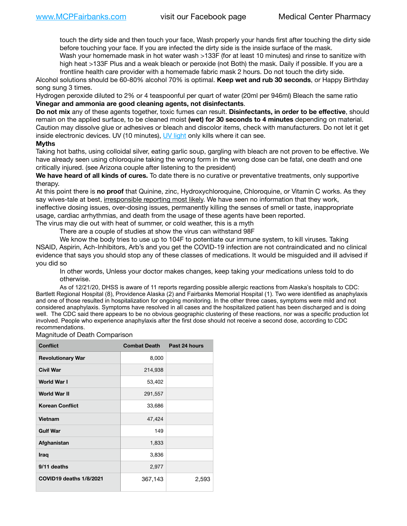touch the dirty side and then touch your face, Wash properly your hands first after touching the dirty side before touching your face. If you are infected the dirty side is the inside surface of the mask.

Wash your homemade mask in hot water wash >133F (for at least 10 minutes) and rinse to sanitize with high heat >133F Plus and a weak bleach or peroxide (not Both) the mask. Daily if possible. If you are a frontline health care provider with a homemade fabric mask 2 hours. Do not touch the dirty side.

Alcohol solutions should be 60-80% alcohol 70% is optimal. **Keep wet and rub 30 seconds**, or Happy Birthday song sung 3 times.

Hydrogen peroxide diluted to 2% or 4 teaspoonful per quart of water (20ml per 946ml) Bleach the same ratio **Vinegar and ammonia are good cleaning agents, not disinfectants**.

**Do not mix** any of these agents together, toxic fumes can result. **Disinfectants, in order to be effective**, should remain on the applied surface, to be cleaned moist **(wet) for 30 seconds to 4 minutes** depending on material. Caution may dissolve glue or adhesives or bleach and discolor items, check with manufacturers. Do not let it get inside electronic devices. UV (10 minutes), [UV light](http://www.docreviews.me/best-uv-boxes-2020/?fbclid=IwAR3bvFtXB48OoBBSvYvTEnKuHNPbipxM6jUo82QUSw9wckxjC7wwRZWabGw) only kills where it can see.

## **Myths**

Taking hot baths, using colloidal silver, eating garlic soup, gargling with bleach are not proven to be effective. We have already seen using chloroquine taking the wrong form in the wrong dose can be fatal, one death and one critically injured. (see Arizona couple after listening to the president)

**We have heard of all kinds of cures.** To date there is no curative or preventative treatments, only supportive therapy.

At this point there is **no proof** that Quinine, zinc, Hydroxychloroquine, Chloroquine, or Vitamin C works. As they say wives-tale at best, irresponsible reporting most likely. We have seen no information that they work, ineffective dosing issues, over-dosing issues, permanently killing the senses of smell or taste, inappropriate usage, cardiac arrhythmias, and death from the usage of these agents have been reported. The virus may die out with heat of summer, or cold weather, this is a myth

There are a couple of studies at show the virus can withstand 98F

We know the body tries to use up to 104F to potentiate our immune system, to kill viruses. Taking NSAID, Aspirin, Ach-Inhibitors, Arb's and you get the COVID-19 infection are not contraindicated and no clinical evidence that says you should stop any of these classes of medications. It would be misguided and ill advised if you did so

In other words, Unless your doctor makes changes, keep taking your medications unless told to do otherwise.

As of 12/21/20, DHSS is aware of 11 reports regarding possible allergic reactions from Alaska's hospitals to CDC: Bartlett Regional Hospital (8), Providence Alaska (2) and Fairbanks Memorial Hospital (1). Two were identified as anaphylaxis and one of those resulted in hospitalization for ongoing monitoring. In the other three cases, symptoms were mild and not considered anaphylaxis. Symptoms have resolved in all cases and the hospitalized patient has been discharged and is doing well. The CDC said there appears to be no obvious geographic clustering of these reactions, nor was a specific production lot involved. People who experience anaphylaxis after the first dose should not receive a second dose, according to CDC recommendations.

Magnitude of Death Comparison

| <b>Conflict</b>          | <b>Combat Death</b> | Past 24 hours |
|--------------------------|---------------------|---------------|
| <b>Revolutionary War</b> | 8,000               |               |
| <b>Civil War</b>         | 214,938             |               |
| <b>World War I</b>       | 53,402              |               |
| World War II             | 291,557             |               |
| <b>Korean Conflict</b>   | 33,686              |               |
| Vietnam                  | 47,424              |               |
| <b>Gulf War</b>          | 149                 |               |
| Afghanistan              | 1,833               |               |
| <b>Iraq</b>              | 3,836               |               |
| 9/11 deaths              | 2,977               |               |
| COVID19 deaths 1/8/2021  | 367,143             | 2,593         |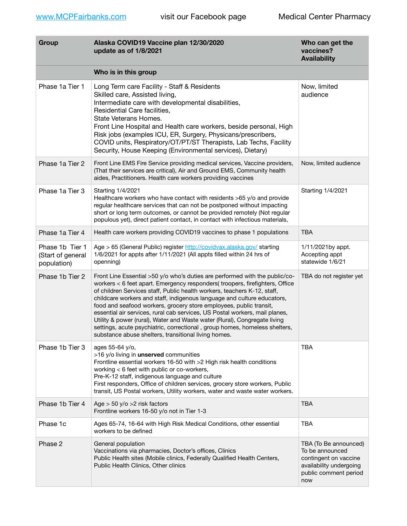| Group                                               | Alaska COVID19 Vaccine plan 12/30/2020<br>update as of 1/8/2021                                                                                                                                                                                                                                                                                                                                                                                                                                                                                                                                                                                                                           | Who can get the<br>vaccines?<br><b>Availability</b>                                                                          |
|-----------------------------------------------------|-------------------------------------------------------------------------------------------------------------------------------------------------------------------------------------------------------------------------------------------------------------------------------------------------------------------------------------------------------------------------------------------------------------------------------------------------------------------------------------------------------------------------------------------------------------------------------------------------------------------------------------------------------------------------------------------|------------------------------------------------------------------------------------------------------------------------------|
|                                                     | Who is in this group                                                                                                                                                                                                                                                                                                                                                                                                                                                                                                                                                                                                                                                                      |                                                                                                                              |
| Phase 1a Tier 1                                     | Long Term care Facility - Staff & Residents<br>Skilled care, Assisted living,<br>Intermediate care with developmental disabilities,<br>Residential Care facilities,<br>State Veterans Homes.<br>Front Line Hospital and Health care workers, beside personal, High<br>Risk jobs (examples ICU, ER, Surgery, Physicans/prescribers,<br>COVID units, Respiratory/OT/PT/ST Therapists, Lab Techs, Facility<br>Security, House Keeping (Environmental services), Dietary)                                                                                                                                                                                                                     | Now, limited<br>audience                                                                                                     |
| Phase 1a Tier 2                                     | Front Line EMS Fire Service providing medical services, Vaccine providers,<br>(That their services are critical), Air and Ground EMS, Community health<br>aides, Practitioners. Health care workers providing vaccines                                                                                                                                                                                                                                                                                                                                                                                                                                                                    | Now, limited audience                                                                                                        |
| Phase 1a Tier 3                                     | Starting 1/4/2021<br>Healthcare workers who have contact with residents >65 y/o and provide<br>regular healthcare services that can not be postponed without impacting<br>short or long term outcomes, or cannot be provided remotely (Not regular<br>populous yet), direct patient contact, in contact with infectious materials,                                                                                                                                                                                                                                                                                                                                                        | Starting 1/4/2021                                                                                                            |
| Phase 1a Tier 4                                     | Health care workers providing COVID19 vaccines to phase 1 populations                                                                                                                                                                                                                                                                                                                                                                                                                                                                                                                                                                                                                     | <b>TBA</b>                                                                                                                   |
| Phase 1b Tier 1<br>(Start of general<br>population) | Age > 65 (General Public) register http://covidvax.alaska.gov/ starting<br>1/6/2021 for appts after 1/11/2021 (All appts filled within 24 hrs of<br>openning)                                                                                                                                                                                                                                                                                                                                                                                                                                                                                                                             | 1/11/2021by appt.<br>Accepting appt<br>statewide 1/6/21                                                                      |
| Phase 1b Tier 2                                     | Front Line Essential >50 y/o who's duties are performed with the public/co-<br>workers < 6 feet apart. Emergency responders(troopers, firefighters, Office<br>of children Services staff, Public health workers, teachers K-12, staff,<br>childcare workers and staff, indigenous language and culture educators,<br>food and seafood workers, grocery store employees, public transit,<br>essential air services, rural cab services, US Postal workers, mail planes,<br>Utility & power (rural), Water and Waste water (Rural), Congregate living<br>settings, acute psychiatric, correctional, group homes, homeless shelters,<br>substance abuse shelters, transitional living homes. | TBA do not register yet                                                                                                      |
| Phase 1b Tier 3                                     | ages 55-64 y/o,<br>>16 y/o living in unserved communities<br>Frontline essential workers 16-50 with >2 High risk health conditions<br>working < 6 feet with public or co-workers,<br>Pre-K-12 staff, indigenous language and culture<br>First responders, Office of children services, grocery store workers, Public<br>transit, US Postal workers, Utility workers, water and waste water workers.                                                                                                                                                                                                                                                                                       | <b>TBA</b>                                                                                                                   |
| Phase 1b Tier 4                                     | Age $>$ 50 y/o $>$ 2 risk factors<br>Frontline workers 16-50 y/o not in Tier 1-3                                                                                                                                                                                                                                                                                                                                                                                                                                                                                                                                                                                                          | <b>TBA</b>                                                                                                                   |
| Phase 1c                                            | Ages 65-74, 16-64 with High Risk Medical Conditions, other essential<br>workers to be defined                                                                                                                                                                                                                                                                                                                                                                                                                                                                                                                                                                                             | <b>TBA</b>                                                                                                                   |
| Phase 2                                             | General population<br>Vaccinations via pharmacies, Doctor's offices, Clinics<br>Public Health sites (Mobile clinics, Federally Qualified Health Centers,<br>Public Health Clinics, Other clinics                                                                                                                                                                                                                                                                                                                                                                                                                                                                                          | TBA (To Be announced)<br>To be announced<br>contingent on vaccine<br>availability undergoing<br>public comment period<br>now |